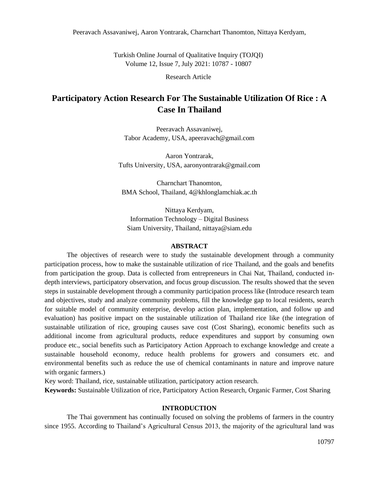Peeravach Assavaniwej, Aaron Yontrarak, Charnchart Thanomton, Nittaya Kerdyam,

Turkish Online Journal of Qualitative Inquiry (TOJQI) Volume 12, Issue 7, July 2021: 10787 - 10807

Research Article

# **Participatory Action Research For The Sustainable Utilization Of Rice : A Case In Thailand**

Peeravach Assavaniwej, Tabor Academy, USA, apeeravach@gmail.com

Aaron Yontrarak, Tufts University, USA, aaronyontrarak@gmail.com

Charnchart Thanomton, BMA School, Thailand, 4@khlonglamchiak.ac.th

Nittaya Kerdyam, Information Technology – Digital Business Siam University, Thailand, nittaya@siam.edu

#### **ABSTRACT**

The objectives of research were to study the sustainable development through a community participation process, how to make the sustainable utilization of rice Thailand, and the goals and benefits from participation the group. Data is collected from entrepreneurs in Chai Nat, Thailand, conducted indepth interviews, participatory observation, and focus group discussion. The results showed that the seven steps in sustainable development through a community participation process like (Introduce research team and objectives, study and analyze community problems, fill the knowledge gap to local residents, search for suitable model of community enterprise, develop action plan, implementation, and follow up and evaluation) has positive impact on the sustainable utilization of Thailand rice like (the integration of sustainable utilization of rice, grouping causes save cost (Cost Sharing), economic benefits such as additional income from agricultural products, reduce expenditures and support by consuming own produce etc., social benefits such as Participatory Action Approach to exchange knowledge and create a sustainable household economy, reduce health problems for growers and consumers etc. and environmental benefits such as reduce the use of chemical contaminants in nature and improve nature with organic farmers.)

Key word: Thailand, rice, sustainable utilization, participatory action research.

**Keywords:** Sustainable Utilization of rice, Participatory Action Research, Organic Farmer, Cost Sharing

## **INTRODUCTION**

The Thai government has continually focused on solving the problems of farmers in the country since 1955. According to Thailand's Agricultural Census 2013, the majority of the agricultural land was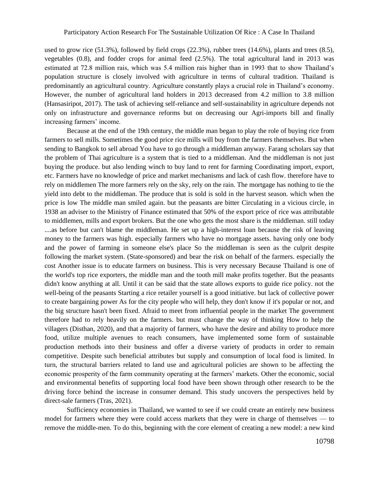used to grow rice (51.3%), followed by field crops (22.3%), rubber trees (14.6%), plants and trees (8.5), vegetables (0.8), and fodder crops for animal feed (2.5%). The total agricultural land in 2013 was estimated at 72.8 million rais, which was 5.4 million rais higher than in 1993 that to show Thailand's population structure is closely involved with agriculture in terms of cultural tradition. Thailand is predominantly an agricultural country. Agriculture constantly plays a crucial role in Thailand's economy. However, the number of agricultural land holders in 2013 decreased from 4.2 million to 3.8 million (Hansasiripot, 2017). The task of achieving self-reliance and self-sustainability in agriculture depends not only on infrastructure and governance reforms but on decreasing our Agri-imports bill and finally increasing farmers' income.

Because at the end of the 19th century, the middle man began to play the role of buying rice from farmers to sell mills. Sometimes the good price rice mills will buy from the farmers themselves. But when sending to Bangkok to sell abroad You have to go through a middleman anyway. Farang scholars say that the problem of Thai agriculture is a system that is tied to a middleman. And the middleman is not just buying the produce. but also lending winch to buy land to rent for farming Coordinating import, export, etc. Farmers have no knowledge of price and market mechanisms and lack of cash flow. therefore have to rely on middlemen The more farmers rely on the sky, rely on the rain. The mortgage has nothing to tie the yield into debt to the middleman. The produce that is sold is sold in the harvest season. which when the price is low The middle man smiled again. but the peasants are bitter Circulating in a vicious circle, in 1938 an adviser to the Ministry of Finance estimated that 50% of the export price of rice was attributable to middlemen, mills and export brokers. But the one who gets the most share is the middleman. still today ....as before but can't blame the middleman. He set up a high-interest loan because the risk of leaving money to the farmers was high. especially farmers who have no mortgage assets. having only one body and the power of farming in someone else's place So the middleman is seen as the culprit despite following the market system. (State-sponsored) and bear the risk on behalf of the farmers. especially the cost Another issue is to educate farmers on business. This is very necessary Because Thailand is one of the world's top rice exporters, the middle man and the tooth mill make profits together. But the peasants didn't know anything at all. Until it can be said that the state allows exports to guide rice policy. not the well-being of the peasants Starting a rice retailer yourself is a good initiative. but lack of collective power to create bargaining power As for the city people who will help, they don't know if it's popular or not, and the big structure hasn't been fixed. Afraid to meet from influential people in the market The government therefore had to rely heavily on the farmers. but must change the way of thinking How to help the villagers (Disthan, 2020), and that a majority of farmers, who have the desire and ability to produce more food, utilize multiple avenues to reach consumers, have implemented some form of sustainable production methods into their business and offer a diverse variety of products in order to remain competitive. Despite such beneficial attributes but supply and consumption of local food is limited. In turn, the structural barriers related to land use and agricultural policies are shown to be affecting the economic prosperity of the farm community operating at the farmers' markets. Other the economic, social and environmental benefits of supporting local food have been shown through other research to be the driving force behind the increase in consumer demand. This study uncovers the perspectives held by direct-sale farmers (Tras, 2021).

Sufficiency economies in Thailand, we wanted to see if we could create an entirely new business model for farmers where they were could access markets that they were in charge of themselves — to remove the middle-men. To do this, beginning with the core element of creating a new model: a new kind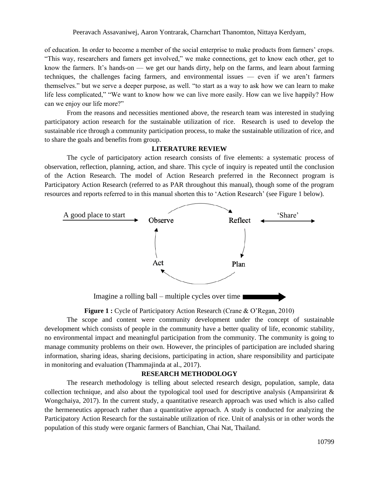Peeravach Assavaniwej, Aaron Yontrarak, Charnchart Thanomton, Nittaya Kerdyam,

of education. In order to become a member of the social enterprise to make products from farmers' crops. "This way, researchers and famers get involved," we make connections, get to know each other, get to know the farmers. It's hands-on — we get our hands dirty, help on the farms, and learn about farming techniques, the challenges facing farmers, and environmental issues — even if we aren't farmers themselves." but we serve a deeper purpose, as well. "to start as a way to ask how we can learn to make life less complicated," "We want to know how we can live more easily. How can we live happily? How can we enjoy our life more?"

From the reasons and necessities mentioned above, the research team was interested in studying participatory action research for the sustainable utilization of rice. Research is used to develop the sustainable rice through a community participation process, to make the sustainable utilization of rice, and to share the goals and benefits from group.

#### **LITERATURE REVIEW**

The cycle of participatory action research consists of five elements: a systematic process of observation, reflection, planning, action, and share. This cycle of inquiry is repeated until the conclusion of the Action Research. The model of Action Research preferred in the Reconnect program is Participatory Action Research (referred to as PAR throughout this manual), though some of the program resources and reports referred to in this manual shorten this to 'Action Research' (see Figure 1 below).



**Figure 1 :** Cycle of Participatory Action Research (Crane & O'Regan, 2010)

The scope and content were community development under the concept of sustainable development which consists of people in the community have a better quality of life, economic stability, no environmental impact and meaningful participation from the community. The community is going to manage community problems on their own. However, the principles of participation are included sharing information, sharing ideas, sharing decisions, participating in action, share responsibility and participate in monitoring and evaluation (Thammajinda at al., 2017).

#### **RESEARCH METHODOLOGY**

The research methodology is telling about selected research design, population, sample, data collection technique, and also about the typological tool used for descriptive analysis (Ampansirirat  $\&$ Wongchaiya, 2017). In the current study, a quantitative research approach was used which is also called the hermeneutics approach rather than a quantitative approach. A study is conducted for analyzing the Participatory Action Research for the sustainable utilization of rice. Unit of analysis or in other words the population of this study were organic farmers of Banchian, Chai Nat, Thailand.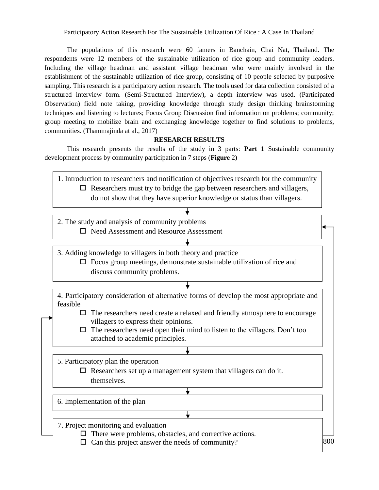Participatory Action Research For The Sustainable Utilization Of Rice : A Case In Thailand

The populations of this research were 60 famers in Banchain, Chai Nat, Thailand. The respondents were 12 members of the sustainable utilization of rice group and community leaders. Including the village headman and assistant village headman who were mainly involved in the establishment of the sustainable utilization of rice group, consisting of 10 people selected by purposive sampling. This research is a participatory action research. The tools used for data collection consisted of a structured interview form. (Semi-Structured Interview), a depth interview was used. (Participated Observation) field note taking, providing knowledge through study design thinking brainstorming techniques and listening to lectures; Focus Group Discussion find information on problems; community; group meeting to mobilize brain and exchanging knowledge together to find solutions to problems, communities. (Thammajinda at al., 2017)

## **RESEARCH RESULTS**

This research presents the results of the study in 3 parts: **Part 1** Sustainable community development process by community participation in 7 steps (**Figure** 2)

1. Introduction to researchers and notification of objectives research for the community  $\Box$  Researchers must try to bridge the gap between researchers and villagers, do not show that they have superior knowledge or status than villagers.

2. The study and analysis of community problems Need Assessment and Resource Assessment

3. Adding knowledge to villagers in both theory and practice  $\Box$  Focus group meetings, demonstrate sustainable utilization of rice and discuss community problems.

4. Participatory consideration of alternative forms of develop the most appropriate and feasible

- $\Box$  The researchers need create a relaxed and friendly atmosphere to encourage villagers to express their opinions.
- $\Box$  The researchers need open their mind to listen to the villagers. Don't too attached to academic principles.

5. Participatory plan the operation

 $\square$  Researchers set up a management system that villagers can do it. themselves.

6. Implementation of the plan

7. Project monitoring and evaluation

 $\Box$  There were problems, obstacles, and corrective actions.

 $\Box$  Can this project answer the needs of community?

800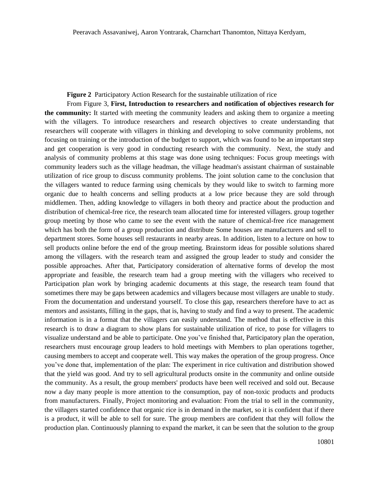#### **Figure 2** Participatory Action Research for the sustainable utilization of rice

From Figure 3, **First, Introduction to researchers and notification of objectives research for the community:** It started with meeting the community leaders and asking them to organize a meeting with the villagers. To introduce researchers and research objectives to create understanding that researchers will cooperate with villagers in thinking and developing to solve community problems, not focusing on training or the introduction of the budget to support, which was found to be an important step and get cooperation is very good in conducting research with the community. Next, the study and analysis of community problems at this stage was done using techniques: Focus group meetings with community leaders such as the village headman, the village headman's assistant chairman of sustainable utilization of rice group to discuss community problems. The joint solution came to the conclusion that the villagers wanted to reduce farming using chemicals by they would like to switch to farming more organic due to health concerns and selling products at a low price because they are sold through middlemen. Then, adding knowledge to villagers in both theory and practice about the production and distribution of chemical-free rice, the research team allocated time for interested villagers. group together group meeting by those who came to see the event with the nature of chemical-free rice management which has both the form of a group production and distribute Some houses are manufacturers and sell to department stores. Some houses sell restaurants in nearby areas. In addition, listen to a lecture on how to sell products online before the end of the group meeting. Brainstorm ideas for possible solutions shared among the villagers. with the research team and assigned the group leader to study and consider the possible approaches. After that, Participatory consideration of alternative forms of develop the most appropriate and feasible, the research team had a group meeting with the villagers who received to Participation plan work by bringing academic documents at this stage, the research team found that sometimes there may be gaps between academics and villagers because most villagers are unable to study. From the documentation and understand yourself. To close this gap, researchers therefore have to act as mentors and assistants, filling in the gaps, that is, having to study and find a way to present. The academic information is in a format that the villagers can easily understand. The method that is effective in this research is to draw a diagram to show plans for sustainable utilization of rice, to pose for villagers to visualize understand and be able to participate. One you've finished that, Participatory plan the operation, researchers must encourage group leaders to hold meetings with Members to plan operations together, causing members to accept and cooperate well. This way makes the operation of the group progress. Once you've done that, implementation of the plan: The experiment in rice cultivation and distribution showed that the yield was good. And try to sell agricultural products onsite in the community and online outside the community. As a result, the group members' products have been well received and sold out. Because now a day many people is more attention to the consumption, pay of non-toxic products and products from manufacturers. Finally, Project monitoring and evaluation: From the trial to sell in the community, the villagers started confidence that organic rice is in demand in the market, so it is confident that if there is a product, it will be able to sell for sure. The group members are confident that they will follow the production plan. Continuously planning to expand the market, it can be seen that the solution to the group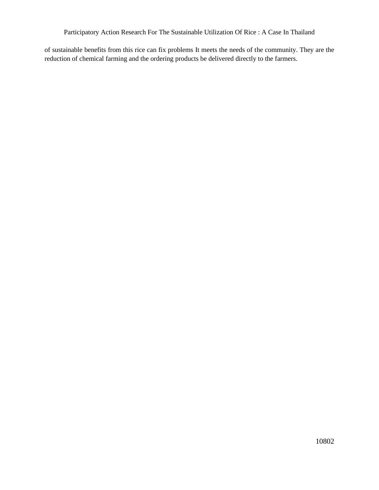of sustainable benefits from this rice can fix problems It meets the needs of the community. They are the reduction of chemical farming and the ordering products be delivered directly to the farmers.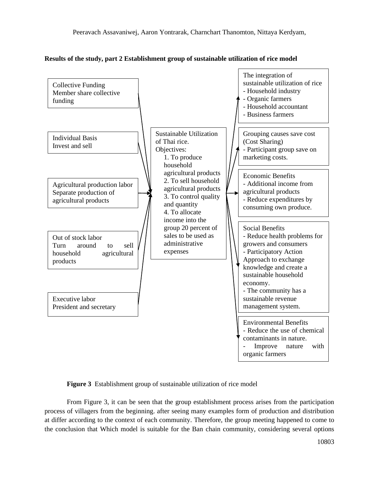## **Results of the study, part 2 Establishment group of sustainable utilization of rice model**



**Figure 3** Establishment group of sustainable utilization of rice model

From Figure 3, it can be seen that the group establishment process arises from the participation process of villagers from the beginning. after seeing many examples form of production and distribution at differ according to the context of each community. Therefore, the group meeting happened to come to the conclusion that Which model is suitable for the Ban chain community, considering several options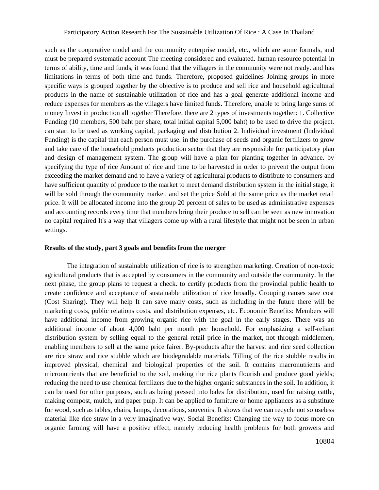such as the cooperative model and the community enterprise model, etc., which are some formals, and must be prepared systematic account The meeting considered and evaluated. human resource potential in terms of ability, time and funds, it was found that the villagers in the community were not ready. and has limitations in terms of both time and funds. Therefore, proposed guidelines Joining groups in more specific ways is grouped together by the objective is to produce and sell rice and household agricultural products in the name of sustainable utilization of rice and has a goal generate additional income and reduce expenses for members as the villagers have limited funds. Therefore, unable to bring large sums of money Invest in production all together Therefore, there are 2 types of investments together: 1. Collective Funding (10 members, 500 baht per share, total initial capital 5,000 baht) to be used to drive the project. can start to be used as working capital, packaging and distribution 2. Individual investment (Individual Funding) is the capital that each person must use. in the purchase of seeds and organic fertilizers to grow and take care of the household products production sector that they are responsible for participatory plan and design of management system. The group will have a plan for planting together in advance. by specifying the type of rice Amount of rice and time to be harvested in order to prevent the output from exceeding the market demand and to have a variety of agricultural products to distribute to consumers and have sufficient quantity of produce to the market to meet demand distribution system in the initial stage, it will be sold through the community market. and set the price Sold at the same price as the market retail price. It will be allocated income into the group 20 percent of sales to be used as administrative expenses and accounting records every time that members bring their produce to sell can be seen as new innovation no capital required It's a way that villagers come up with a rural lifestyle that might not be seen in urban settings.

#### **Results of the study, part 3 goals and benefits from the merger**

The integration of sustainable utilization of rice is to strengthen marketing. Creation of non-toxic agricultural products that is accepted by consumers in the community and outside the community. In the next phase, the group plans to request a check. to certify products from the provincial public health to create confidence and acceptance of sustainable utilization of rice broadly. Grouping causes save cost (Cost Sharing). They will help It can save many costs, such as including in the future there will be marketing costs, public relations costs. and distribution expenses, etc. Economic Benefits: Members will have additional income from growing organic rice with the goal in the early stages. There was an additional income of about 4,000 baht per month per household. For emphasizing a self-reliant distribution system by selling equal to the general retail price in the market, not through middlemen, enabling members to sell at the same price fairer. By-products after the harvest and rice seed collection are rice straw and rice stubble which are biodegradable materials. Tilling of the rice stubble results in improved physical, chemical and biological properties of the soil. It contains macronutrients and micronutrients that are beneficial to the soil, making the rice plants flourish and produce good yields; reducing the need to use chemical fertilizers due to the higher organic substances in the soil. In addition, it can be used for other purposes, such as being pressed into bales for distribution, used for raising cattle, making compost, mulch, and paper pulp. It can be applied to furniture or home appliances as a substitute for wood, such as tables, chairs, lamps, decorations, souvenirs. It shows that we can recycle not so useless material like rice straw in a very imaginative way. Social Benefits: Changing the way to focus more on organic farming will have a positive effect, namely reducing health problems for both growers and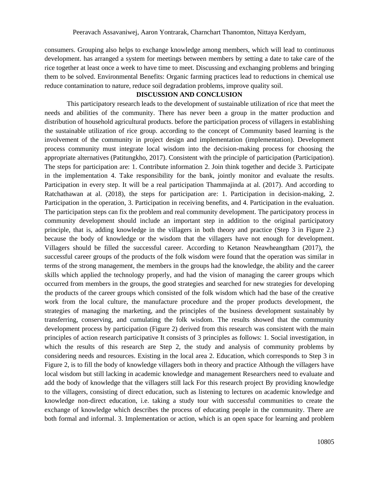consumers. Grouping also helps to exchange knowledge among members, which will lead to continuous development. has arranged a system for meetings between members by setting a date to take care of the rice together at least once a week to have time to meet. Discussing and exchanging problems and bringing them to be solved. Environmental Benefits: Organic farming practices lead to reductions in chemical use reduce contamination to nature, reduce soil degradation problems, improve quality soil.

### **DISCUSSION AND CONCLUSION**

This participatory research leads to the development of sustainable utilization of rice that meet the needs and abilities of the community. There has never been a group in the matter production and distribution of household agricultural products. before the participation process of villagers in establishing the sustainable utilization of rice group. according to the concept of Community based learning is the involvement of the community in project design and implementation (implementation). Development process community must integrate local wisdom into the decision-making process for choosing the appropriate alternatives (Patitungkho, 2017). Consistent with the principle of participation (Participation). The steps for participation are: 1. Contribute information 2. Join think together and decide 3. Participate in the implementation 4. Take responsibility for the bank, jointly monitor and evaluate the results. Participation in every step. It will be a real participation Thammajinda at al. (2017). And according to Ratchathawan at al. (2018), the steps for participation are: 1. Participation in decision-making, 2. Participation in the operation, 3. Participation in receiving benefits, and 4. Participation in the evaluation. The participation steps can fix the problem and real community development. The participatory process in community development should include an important step in addition to the original participatory principle, that is, adding knowledge in the villagers in both theory and practice (Step 3 in Figure 2.) because the body of knowledge or the wisdom that the villagers have not enough for development. Villagers should be filled the successful career. According to Ketanon Neawheangtham (2017), the successful career groups of the products of the folk wisdom were found that the operation was similar in terms of the strong management, the members in the groups had the knowledge, the ability and the career skills which applied the technology properly, and had the vision of managing the career groups which occurred from members in the groups, the good strategies and searched for new strategies for developing the products of the career groups which consisted of the folk wisdom which had the base of the creative work from the local culture, the manufacture procedure and the proper products development, the strategies of managing the marketing, and the principles of the business development sustainably by transferring, conserving, and cumulating the folk wisdom. The results showed that the community development process by participation (Figure 2) derived from this research was consistent with the main principles of action research participative It consists of 3 principles as follows: 1. Social investigation, in which the results of this research are Step 2, the study and analysis of community problems by considering needs and resources. Existing in the local area 2. Education, which corresponds to Step 3 in Figure 2, is to fill the body of knowledge villagers both in theory and practice Although the villagers have local wisdom but still lacking in academic knowledge and management Researchers need to evaluate and add the body of knowledge that the villagers still lack For this research project By providing knowledge to the villagers, consisting of direct education, such as listening to lectures on academic knowledge and knowledge non-direct education, i.e. taking a study tour with successful communities to create the exchange of knowledge which describes the process of educating people in the community. There are both formal and informal. 3. Implementation or action, which is an open space for learning and problem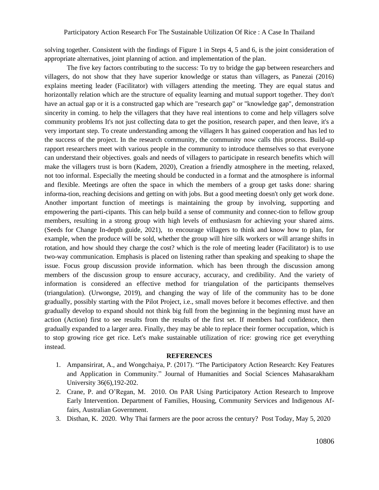solving together. Consistent with the findings of Figure 1 in Steps 4, 5 and 6, is the joint consideration of appropriate alternatives, joint planning of action. and implementation of the plan.

The five key factors contributing to the success: To try to bridge the gap between researchers and villagers, do not show that they have superior knowledge or status than villagers, as Panezai (2016) explains meeting leader (Facilitator) with villagers attending the meeting. They are equal status and horizontally relation which are the structure of equality learning and mutual support together. They don't have an actual gap or it is a constructed gap which are "research gap" or "knowledge gap", demonstration sincerity in coming. to help the villagers that they have real intentions to come and help villagers solve community problems It's not just collecting data to get the position, research paper, and then leave, it's a very important step. To create understanding among the villagers It has gained cooperation and has led to the success of the project. In the research community, the community now calls this process. Build-up rapport researchers meet with various people in the community to introduce themselves so that everyone can understand their objectives. goals and needs of villagers to participate in research benefits which will make the villagers trust is born (Kadem, 2020), Creation a friendly atmosphere in the meeting, relaxed, not too informal. Especially the meeting should be conducted in a format and the atmosphere is informal and flexible. Meetings are often the space in which the members of a group get tasks done: sharing informa-tion, reaching decisions and getting on with jobs. But a good meeting doesn't only get work done. Another important function of meetings is maintaining the group by involving, supporting and empowering the parti-cipants. This can help build a sense of community and connec-tion to fellow group members, resulting in a strong group with high levels of enthusiasm for achieving your shared aims. (Seeds for Change In-depth guide, 2021), to encourage villagers to think and know how to plan, for example, when the produce will be sold, whether the group will hire silk workers or will arrange shifts in rotation, and how should they charge the cost? which is the role of meeting leader (Facilitator) is to use two-way communication. Emphasis is placed on listening rather than speaking and speaking to shape the issue. Focus group discussion provide information. which has been through the discussion among members of the discussion group to ensure accuracy, accuracy, and credibility. And the variety of information is considered an effective method for triangulation of the participants themselves (triangulation). (Urwongse, 2019), and changing the way of life of the community has to be done gradually, possibly starting with the Pilot Project, i.e., small moves before it becomes effective. and then gradually develop to expand should not think big full from the beginning in the beginning must have an action (Action) first to see results from the results of the first set. If members had confidence, then gradually expanded to a larger area. Finally, they may be able to replace their former occupation, which is to stop growing rice get rice. Let's make sustainable utilization of rice: growing rice get everything instead.

#### **REFERENCES**

- 1. Ampansirirat, A., and Wongchaiya, P. (2017). "The Participatory Action Research: Key Features and Application in Community." Journal of Humanities and Social Sciences Mahasarakham University 36(6),192-202.
- 2. Crane, P. and O'Regan, M. 2010. On PAR Using Participatory Action Research to Improve Early Intervention. Department of Families, Housing, Community Services and Indigenous Affairs, Australian Government.
- 3. Disthan, K. 2020. Why Thai farmers are the poor across the century? Post Today, May 5, 2020